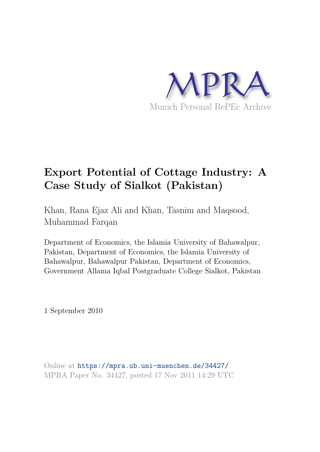

# **Export Potential of Cottage Industry: A Case Study of Sialkot (Pakistan)**

Khan, Rana Ejaz Ali and Khan, Tasnim and Maqsood, Muhammad Farqan

Department of Economics, the Islamia University of Bahawalpur, Pakistan, Department of Economics, the Islamia University of Bahawalpur, Bahawalpur Pakistan, Department of Economics, Government Allama Iqbal Postgraduate College Sialkot, Pakistan

1 September 2010

Online at https://mpra.ub.uni-muenchen.de/34427/ MPRA Paper No. 34427, posted 17 Nov 2011 14:29 UTC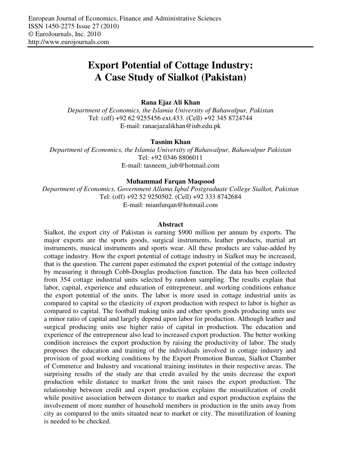## **Export Potential of Cottage Industry: A Case Study of Sialkot (Pakistan)**

#### **Rana Ejaz Ali Khan**

*Department of Economics, the Islamia University of Bahawalpur, Pakistan*  Tel: (off) +92 62 9255456 ext.433. (Cell) +92 345 8724744 E-mail: ranaejazalikhan@iub.edu.pk

#### **Tasnim Khan**

*Department of Economics, the Islamia University of Bahawalpur, Bahawalpur Pakistan*  Tel: +92 0346 8806011 E-mail: tasneem\_iub@hotmail.com

#### **Muhammad Farqan Maqsood**

*Department of Economics, Government Allama Iqbal Postgraduate College Sialkot, Pakistan*  Tel: (off) +92 52 9250502. (Cell) +92 333 8742684

E-mail: mianfurqan@hotmail.com

#### **Abstract**

Sialkot, the export city of Pakistan is earning \$900 million per annum by exports. The major exports are the sports goods, surgical instruments, leather products, martial art instruments, musical instruments and sports wear. All these products are value-added by cottage industry. How the export potential of cottage industry in Sialkot may be increased, that is the question. The current paper estimated the export potential of the cottage industry by measuring it through Cobb-Douglas production function. The data has been collected from 354 cottage industrial units selected by random sampling. The results explain that labor, capital, experience and education of entrepreneur, and working conditions enhance the export potential of the units. The labor is more used in cottage industrial units as compared to capital so the elasticity of export production with respect to labor is higher as compared to capital. The football making units and other sports goods producing units use a minor ratio of capital and largely depend upon labor for production. Although leather and surgical producing units use higher ratio of capital in production. The education and experience of the entrepreneur also lead to increased export production. The better working condition increases the export production by raising the productivity of labor. The study proposes the education and training of the individuals involved in cottage industry and provision of good working conditions by the Export Promotion Bureau, Sialkot Chamber of Commerce and Industry and vocational training institutes in their respective areas. The surprising results of the study are that credit availed by the units decrease the export production while distance to market from the unit raises the export production. The relationship between credit and export production explains the misutilization of credit while positive association between distance to market and export production explains the involvement of more number of household members in production in the units away from city as compared to the units situated near to market or city. The misutilization of loaning is needed to be checked.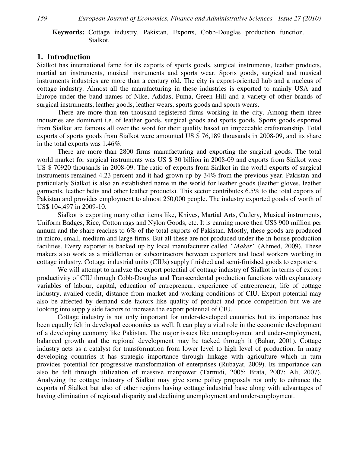#### **Keywords:** Cottage industry, Pakistan, Exports, Cobb-Douglas production function, Sialkot.

#### **1. Introduction**

Sialkot has international fame for its exports of sports goods, surgical instruments, leather products, martial art instruments, musical instruments and sports wear. Sports goods, surgical and musical instruments industries are more than a century old. The city is export-oriented hub and a nucleus of cottage industry. Almost all the manufacturing in these industries is exported to mainly USA and Europe under the band names of Nike, Adidas, Puma, Green Hill and a variety of other brands of surgical instruments, leather goods, leather wears, sports goods and sports wears.

There are more than ten thousand registered firms working in the city. Among them three industries are dominant i.e. of leather goods, surgical goods and sports goods. Sports goods exported from Sialkot are famous all over the word for their quality based on impeccable craftsmanship. Total exports of sports goods from Sialkot were amounted US \$ 76,189 thousands in 2008-09, and its share in the total exports was 1.46%.

There are more than 2800 firms manufacturing and exporting the surgical goods. The total world market for surgical instruments was US \$ 30 billion in 2008-09 and exports from Sialkot were US \$ 70920 thousands in 2008-09. The ratio of exports from Sialkot in the world exports of surgical instruments remained 4.23 percent and it had grown up by 34% from the previous year. Pakistan and particularly Sialkot is also an established name in the world for leather goods (leather gloves, leather garments, leather belts and other leather products). This sector contributes 6.5% to the total exports of Pakistan and provides employment to almost 250,000 people. The industry exported goods of worth of US\$ 104,497 in 2009-10.

Sialkot is exporting many other items like, Knives, Martial Arts, Cutlery, Musical instruments, Uniform Badges, Rice, Cotton rags and Nylon Goods, etc. It is earning more then US\$ 900 million per annum and the share reaches to 6% of the total exports of Pakistan. Mostly, these goods are produced in micro, small, medium and large firms. But all these are not produced under the in-house production facilities. Every exporter is backed up by local manufacturer called *"Maker"* (Ahmed, 2009). These makers also work as a middleman or subcontractors between exporters and local workers working in cottage industry. Cottage industrial units (CIUs) supply finished and semi-finished goods to exporters.

We will attempt to analyze the export potential of cottage industry of Sialkot in terms of export productivity of CIU through Cobb-Douglas and Transcendental production functions with explanatory variables of labour, capital, education of entrepreneur, experience of entrepreneur, life of cottage industry, availed credit, distance from market and working conditions of CIU. Export potential may also be affected by demand side factors like quality of product and price competition but we are looking into supply side factors to increase the export potential of CIU.

Cottage industry is not only important for under-developed countries but its importance has been equally felt in developed economies as well. It can play a vital role in the economic development of a developing economy like Pakistan. The major issues like unemployment and under-employment, balanced growth and the regional development may be tacked through it (Bahar, 2001). Cottage industry acts as a catalyst for transformation from lower level to high level of production. In many developing countries it has strategic importance through linkage with agriculture which in turn provides potential for progressive transformation of enterprises (Rubayat, 2009). Its importance can also be felt through utilization of massive manpower (Tarmidi, 2005; Brata, 2007; Ali, 2007). Analyzing the cottage industry of Sialkot may give some policy proposals not only to enhance the exports of Sialkot but also of other regions having cottage industrial base along with advantages of having elimination of regional disparity and declining unemployment and under-employment.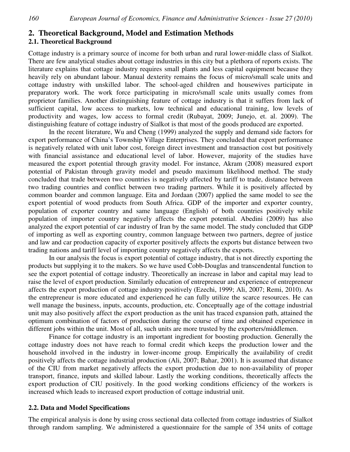#### **2. Theoretical Background, Model and Estimation Methods**

#### **2.1. Theoretical Background**

Cottage industry is a primary source of income for both urban and rural lower-middle class of Sialkot. There are few analytical studies about cottage industries in this city but a plethora of reports exists. The literature explains that cottage industry requires small plants and less capital equipment because they heavily rely on abundant labour. Manual dexterity remains the focus of micro/small scale units and cottage industry with unskilled labor. The school-aged children and housewives participate in preparatory work. The work force participating in micro/small scale units usually comes from proprietor families. Another distinguishing feature of cottage industry is that it suffers from lack of sufficient capital, low access to markets, low technical and educational training, low levels of productivity and wages, low access to formal credit (Rubayat, 2009; Junejo, et. al. 2009). The distinguishing feature of cottage industry of Sialkot is that most of the goods produced are exported.

In the recent literature, Wu and Cheng (1999) analyzed the supply and demand side factors for export performance of China's Township Village Enterprises. They concluded that export performance is negatively related with unit labor cost, foreign direct investment and transaction cost but positively with financial assistance and educational level of labor. However, majority of the studies have measured the export potential through gravity model. For instance, Akram (2008) measured export potential of Pakistan through gravity model and pseudo maximum likelihood method. The study concluded that trade between two countries is negatively affected by tariff to trade, distance between two trading countries and conflict between two trading partners. While it is positively affected by common boarder and common language. Eita and Jordaan (2007) applied the same model to see the export potential of wood products from South Africa. GDP of the importer and exporter country, population of exporter country and same language (English) of both countries positively while population of importer country negatively affects the export potential. Abedini (2009) has also analyzed the export potential of car industry of Iran by the same model. The study concluded that GDP of importing as well as exporting country, common language between two partners, degree of justice and law and car production capacity of exporter positively affects the exports but distance between two trading nations and tariff level of importing country negatively affects the exports.

In our analysis the focus is export potential of cottage industry, that is not directly exporting the products but supplying it to the makers. So we have used Cobb-Douglas and transcendental function to see the export potential of cottage industry. Theoretically an increase in labor and capital may lead to raise the level of export production. Similarly education of entrepreneur and experience of entrepreneur affects the export production of cottage industry positively (Ezechi, 1999; Ali, 2007; Remi, 2010). As the entrepreneur is more educated and experienced he can fully utilize the scarce resources. He can well manage the business, inputs, accounts, production, etc. Conceptually age of the cottage industrial unit may also positively affect the export production as the unit has traced expansion path, attained the optimum combination of factors of production during the course of time and obtained experience in different jobs within the unit. Most of all, such units are more trusted by the exporters/middlemen.

Finance for cottage industry is an important ingredient for boosting production. Generally the cottage industry does not have reach to formal credit which keeps the production lower and the household involved in the industry in lower-income group. Empirically the availability of credit positively affects the cottage industrial production (Ali, 2007; Bahar, 2001). It is assumed that distance of the CIU from market negatively affects the export production due to non-availability of proper transport, finance, inputs and skilled labour. Lastly the working conditions, theoretically affects the export production of CIU positively. In the good working conditions efficiency of the workers is increased which leads to increased export production of cottage industrial unit.

#### **2.2. Data and Model Specifications**

The empirical analysis is done by using cross sectional data collected from cottage industries of Sialkot through random sampling. We administered a questionnaire for the sample of 354 units of cottage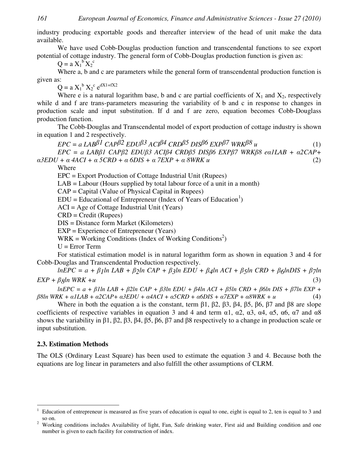industry producing exportable goods and thereafter interview of the head of unit make the data available.

We have used Cobb-Douglas production function and transcendental functions to see export potential of cottage industry. The general form of Cobb-Douglas production function is given as:

 $Q = a X_1^b X_2^c$ 

Where a, b and c are parameters while the general form of transcendental production function is given as:

 $Q = a X_1^b X_2^c e^{dX1+fX2}$ 

Where e is a natural logarithm base, b and c are partial coefficients of  $X_1$  and  $X_2$ , respectively while d and f are trans-parameters measuring the variability of b and c in response to changes in production scale and input substitution. If d and f are zero, equation becomes Cobb-Douglass production function.

The Cobb-Douglas and Transcendental model of export production of cottage industry is shown in equation 1 and 2 respectively.

 $EPC = a \text{ } LAB^{\beta} \text{ } LCAP^{\beta} \text{ } EDU^{\beta} \text{ } ACI^{\beta} \text{ } CRD^{\beta} \text{ } DIS^{\beta} \text{ } EXP^{\beta} \text{ } WRK^{\beta} \text{ } u$  (1) *EPC = a LAB1 CAP2 EDU3 ACI4 CRD5 DIS6 EXP7 WRK8 e*-*1LAB +* -*2CAP+*   $a3EDU + a4ACI + a5CRD + a6DIS + a7EXP + a8WRK u$  (2)

Where

EPC = Export Production of Cottage Industrial Unit (Rupees)

 $LAB = Labour$  (Hours supplied by total labour force of a unit in a month)

CAP = Capital (Value of Physical Capital in Rupees)

 $EDU = Educational$  of Entrepreneur (Index of Years of Education<sup>1</sup>)

ACI = Age of Cottage Industrial Unit (Years)

CRD = Credit (Rupees)

DIS = Distance form Market (Kilometers)

EXP = Experience of Entrepreneur (Years)

 $WRK = \text{Working Conditions}$  (Index of Working Conditions<sup>2</sup>)

 $U = Error Term$ 

For statistical estimation model is in natural logarithm form as shown in equation 3 and 4 for Cobb-Douglas and Transcendental Production respectively.

 $lnEPC = a + \beta_1 ln \, LAB + \beta_2 ln \, CAP + \beta_3 ln \, EDU + \beta_4 ln \, ACI + \beta_5 ln \, CRD + \beta_6 ln DIS + \beta_7 ln$  $EXP + \beta gln WRK + u$  (3)

 $lnEPC = a + \beta$ lln LAB +  $\beta$ 2ln CAP +  $\beta$ 3ln EDU +  $\beta$ 4ln ACI +  $\beta$ 5ln CRD +  $\beta$ 6ln DIS +  $\beta$ 7ln EXP +  $\beta$ *8ln WRK* +  $\alpha$ *ILAB* +  $\alpha$ 2*CAP* +  $\alpha$ 3*EDU* +  $\alpha$ 4*ACI* +  $\alpha$ 5*CRD* +  $\alpha$ 6*DIS* +  $\alpha$ 7*EXP* +  $\alpha$ 8*WRK* +  $\alpha$  (4)

Where in both the equation a is the constant, term  $\beta$ 1,  $\beta$ 2,  $\beta$ 3,  $\beta$ 4,  $\beta$ 5,  $\beta$ 6,  $\beta$ 7 and  $\beta$ 8 are slope coefficients of respective variables in equation 3 and 4 and term  $\alpha$ 1,  $\alpha$ 2,  $\alpha$ 3,  $\alpha$ 4,  $\alpha$ 5,  $\alpha$ 6,  $\alpha$ 7 and  $\alpha$ 8 shows the variability in  $\beta$ 1,  $\beta$ 2,  $\beta$ 3,  $\beta$ 4,  $\beta$ 5,  $\beta$ 6,  $\beta$ 7 and  $\beta$ 8 respectively to a change in production scale or input substitution.

#### **2.3. Estimation Methods**

 $\overline{a}$ 

The OLS (Ordinary Least Square) has been used to estimate the equation 3 and 4. Because both the equations are log linear in parameters and also fulfill the other assumptions of CLRM.

<sup>1</sup> Education of entrepreneur is measured as five years of education is equal to one, eight is equal to 2, ten is equal to 3 and so on.

<sup>&</sup>lt;sup>2</sup> Working conditions includes Availability of light, Fan, Safe drinking water, First aid and Building condition and one number is given to each facility for construction of index.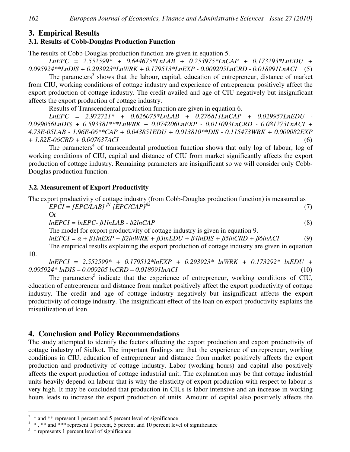#### **3. Empirical Results**

#### **3.1. Results of Cobb-Douglas Production Function**

The results of Cobb-Douglas production function are given in equation 5.

*LnEPC = 2.552599\* + 0.644675\*LnLAB + 0.253975\*LnCAP + 0.173293\*LnEDU + 0.095924\*\*LnDIS + 0.293923\*LnWRK + 0.179513\*LnEXP - 0.009205LnCRD - 0.018991LnACI* (5)

The parameters<sup>3</sup> shows that the labour, capital, education of entrepreneur, distance of market from CIU, working conditions of cottage industry and experience of entrepreneur positively affect the export production of cottage industry. The credit availed and age of CIU negatively but insignificant affects the export production of cottage industry.

Results of Transcendental production function are given in equation 6.

*LnEPC = 2.972721\* + 0.626075\*LnLAB + 0.276811LnCAP + 0.029957LnEDU - 0.099056LnDIS + 0.593381\*\*\*LnWRK + 0.074206LnEXP - 0.011093LnCRD - 0.081273LnACI + 4.73E-05LAB - 1.96E-06\*\*CAP + 0.043851EDU + 0.013810\*\*DIS - 0.115473WRK + 0.009082EXP + 1.82E-06CRD + 0.007637ACI* (6)

The parameters<sup>4</sup> of transcendental production function shows that only log of labour, log of working conditions of CIU, capital and distance of CIU from market significantly affects the export production of cottage industry. Remaining parameters are insignificant so we will consider only Cobb-Douglas production function.

#### **3.2. Measurement of Export Productivity**

|  |  |  |  | The export productivity of cottage industry (from Cobb-Douglas production function) is measured as |
|--|--|--|--|----------------------------------------------------------------------------------------------------|
|  |  |  |  |                                                                                                    |

 $EPCI = [EPC/LAB]^{\beta I} [EPC/CAP]^{\beta 2}$ (7) Or

 $lnEPCI = lnEPC - \beta llnLAB - \beta 2lnCAP$  (8)

The model for export productivity of cottage industry is given in equation 9.

 $lnEPCI = \alpha + \beta llnEXP + \beta 2lnWRK + \beta 3lnEDU + \beta 4lnDIS + \beta 5lnCRD + \beta 6lnACI$  (9)

The empirical results explaining the export production of cottage industry are given in equation 10.

*lnEPCI = 2.552599\* + 0.179512\*lnEXP + 0.293923\* lnWRK + 0.173292\* lnEDU + 0.095924\* lnDIS – 0.009205 lnCRD – 0.018991lnACI* (10)

The parameters<sup>5</sup> indicate that the experience of entrepreneur, working conditions of CIU, education of entrepreneur and distance from market positively affect the export productivity of cottage industry. The credit and age of cottage industry negatively but insignificant affects the export productivity of cottage industry. The insignificant effect of the loan on export productivity explains the misutilization of loan.

#### **4. Conclusion and Policy Recommendations**

The study attempted to identify the factors affecting the export production and export productivity of cottage industry of Sialkot. The important findings are that the experience of entrepreneur, working conditions in CIU, education of entrepreneur and distance from market positively affects the export production and productivity of cottage industry. Labor (working hours) and capital also positively affects the export production of cottage industrial unit. The explanation may be that cottage industrial units heavily depend on labour that is why the elasticity of export production with respect to labour is very high. It may be concluded that production in CIUs is labor intensive and an increase in working hours leads to increase the export production of units. Amount of capital also positively affects the

 $\overline{a}$ 

 $3 *$  and  $**$  represent 1 percent and 5 percent level of significance

<sup>&</sup>lt;sup>4</sup> \*, \*\* and \*\*\* represent 1 percent, 5 percent and 10 percent level of significance

<sup>&</sup>lt;sup>5</sup> \* represents 1 percent level of significance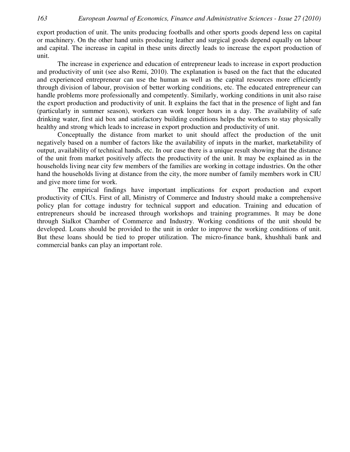export production of unit. The units producing footballs and other sports goods depend less on capital or machinery. On the other hand units producing leather and surgical goods depend equally on labour and capital. The increase in capital in these units directly leads to increase the export production of unit.

The increase in experience and education of entrepreneur leads to increase in export production and productivity of unit (see also Remi, 2010). The explanation is based on the fact that the educated and experienced entrepreneur can use the human as well as the capital resources more efficiently through division of labour, provision of better working conditions, etc. The educated entrepreneur can handle problems more professionally and competently. Similarly, working conditions in unit also raise the export production and productivity of unit. It explains the fact that in the presence of light and fan (particularly in summer season), workers can work longer hours in a day. The availability of safe drinking water, first aid box and satisfactory building conditions helps the workers to stay physically healthy and strong which leads to increase in export production and productivity of unit.

Conceptually the distance from market to unit should affect the production of the unit negatively based on a number of factors like the availability of inputs in the market, marketability of output, availability of technical hands, etc. In our case there is a unique result showing that the distance of the unit from market positively affects the productivity of the unit. It may be explained as in the households living near city few members of the families are working in cottage industries. On the other hand the households living at distance from the city, the more number of family members work in CIU and give more time for work.

The empirical findings have important implications for export production and export productivity of CIUs. First of all, Ministry of Commerce and Industry should make a comprehensive policy plan for cottage industry for technical support and education. Training and education of entrepreneurs should be increased through workshops and training programmes. It may be done through Sialkot Chamber of Commerce and Industry. Working conditions of the unit should be developed. Loans should be provided to the unit in order to improve the working conditions of unit. But these loans should be tied to proper utilization. The micro-finance bank, khushhali bank and commercial banks can play an important role.